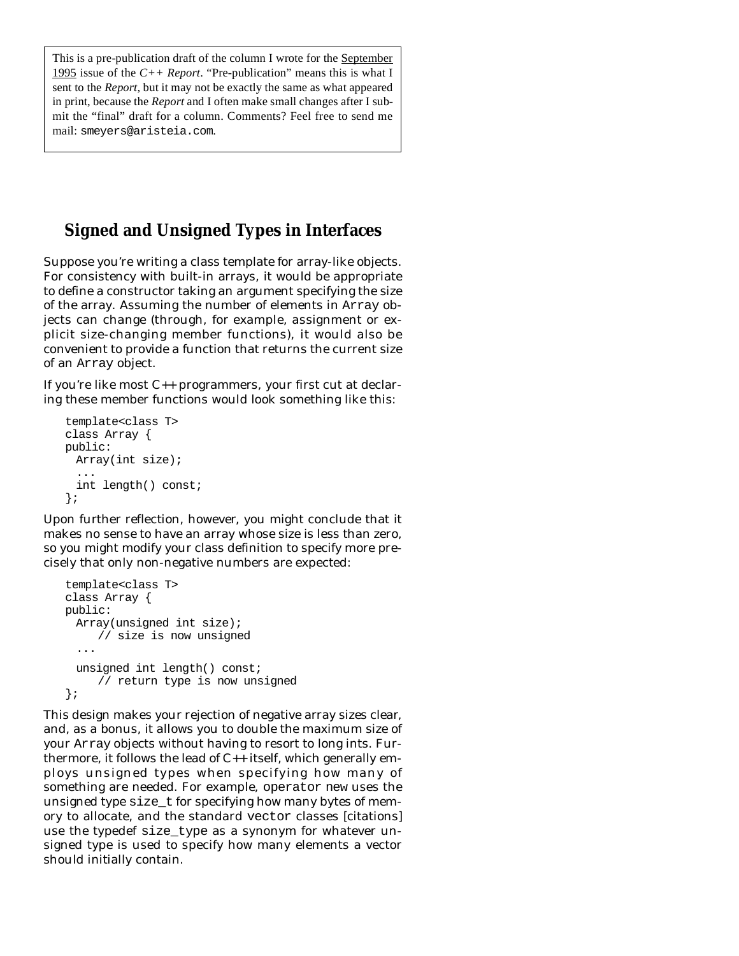This is a pre-publication draft of the column I wrote for the September 1995 issue of the *C++ Report*. "Pre-publication" means this is what I sent to the *Report*, but it may not be exactly the same as what appeared in print, because the *Report* and I often make small changes after I submit the "final" draft for a column. Comments? Feel free to send me mail: smeyers@aristeia.com.

## **Signed and Unsigned Types in Interfaces**

Suppose you're writing a class template for array-like objects. For consistency with built-in arrays, it would be appropriate to define a constructor taking an argument specifying the size of the array. Assuming the number of elements in Array objects can change (through, for example, assignment or explicit size-changing member functions), it would also be convenient to provide a function that returns the current size of an Array object.

If you're like most C++ programmers, your first cut at declaring these member functions would look something like this:

```
template<class T>
class Array {
public:
 Array(int size);
  ...
 int length() const;
};
```
Upon further reflection, however, you might conclude that it makes no sense to have an array whose size is less than zero, so you might modify your class definition to specify more precisely that only non-negative numbers are expected:

```
template<class T>
class Array {
public:
 Array(unsigned int size);
     // size is now unsigned
  ...
 unsigned int length() const;
     // return type is now unsigned
};
```
This design makes your rejection of negative array sizes clear, and, as a bonus, it allows you to double the maximum size of your Array objects without having to resort to long ints. Furthermore, it follows the lead of C++ itself, which generally employs unsigned types when specifying how many of something are needed. For example, operator new uses the unsigned type size\_t for specifying how many bytes of memory to allocate, and the standard vector classes [citations] use the typedef size\_type as a synonym for whatever unsigned type is used to specify how many elements a vector should initially contain.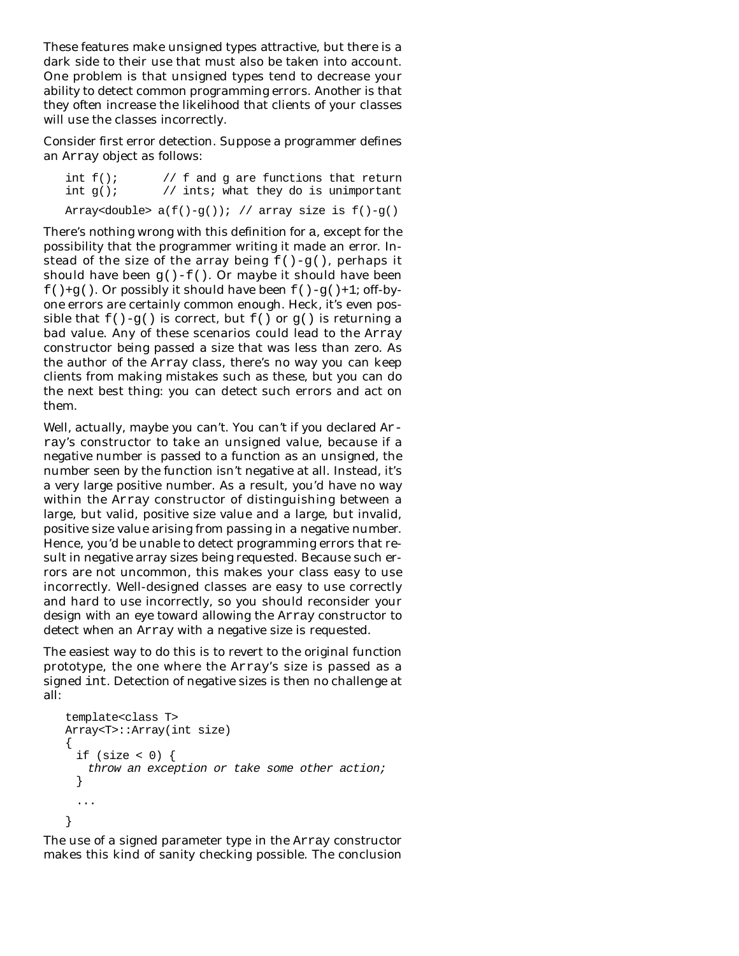These features make unsigned types attractive, but there is a dark side to their use that must also be taken into account. One problem is that unsigned types tend to decrease your ability to detect common programming errors. Another is that they often increase the likelihood that clients of your classes will use the classes incorrectly.

Consider first error detection. Suppose a programmer defines an Array object as follows:

int  $f()$ ; // f and g are functions that return int  $q()$ ; // ints; what they do is unimportant Array<double>  $a(f() - g())$ ; // array size is  $f() - g()$ 

There's nothing wrong with this definition for a, except for the possibility that the programmer writing it made an error. Instead of the size of the array being  $f() - g()$ , perhaps it should have been  $g() - f()$ . Or maybe it should have been  $f( )+g( )$ . Or possibly it should have been  $f( )-g( )+1;$  off-byone errors are certainly common enough. Heck, it's even possible that  $f() - g()$  is correct, but  $f()$  or  $g()$  is returning a bad value. Any of these scenarios could lead to the Array constructor being passed a size that was less than zero. As the author of the Array class, there's no way you can keep clients from making mistakes such as these, but you can do the next best thing: you can *detect* such errors and act on them.

Well, actually, maybe you can't. You can't if you declared Array's constructor to take an unsigned value, because if a negative number is passed to a function as an unsigned, the number seen by the function isn't negative at all. Instead, it's a very large positive number. As a result, you'd have no way within the Array constructor of distinguishing between a large, but valid, positive size value and a large, but invalid, positive size value arising from passing in a negative number. Hence, you'd be unable to detect programming errors that result in negative array sizes being requested. Because such errors are not uncommon, this makes your class easy to use incorrectly. Well-designed classes are easy to use correctly and hard to use incorrectly, so you should reconsider your design with an eye toward allowing the Array constructor to detect when an Array with a negative size is requested.

The easiest way to do this is to revert to the original function prototype, the one where the Array's size is passed as a signed int. Detection of negative sizes is then no challenge at all:

```
template<class T>
Array<T>::Array(int size)
{
 if (size < 0) {
   throw an exception or take some other action;
 }
  ...
}
```
The use of a signed parameter type in the Array constructor makes this kind of sanity checking possible. The conclusion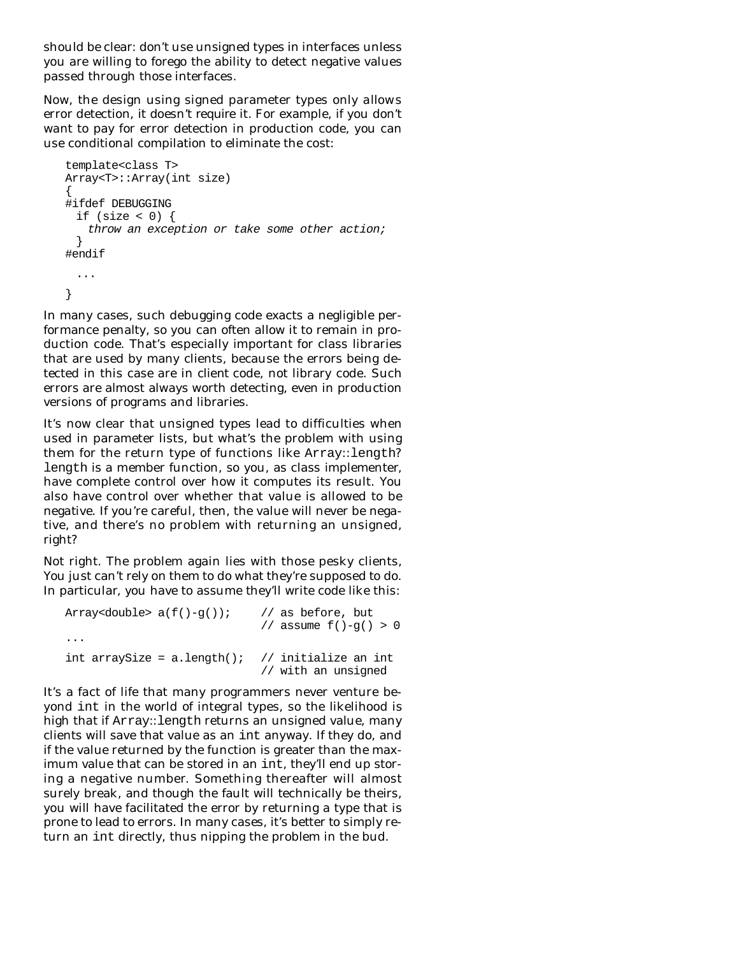should be clear: don't use unsigned types in interfaces unless you are willing to forego the ability to detect negative values passed through those interfaces.

Now, the design using signed parameter types only *allows* error detection, it doesn't *require* it. For example, if you don't want to pay for error detection in production code, you can use conditional compilation to eliminate the cost:

```
template<class T>
Array<T>::Array(int size)
{
#ifdef DEBUGGING
 if (size < 0) {
   throw an exception or take some other action;
  }
#endif
 ...
}
```
In many cases, such debugging code exacts a negligible performance penalty, so you can often allow it to remain in production code. That's especially important for class libraries that are used by many clients, because the errors being detected in this case are in *client* code, not library code. Such errors are almost always worth detecting, even in production versions of programs and libraries.

It's now clear that unsigned types lead to difficulties when used in parameter lists, but what's the problem with using them for the return type of functions like Array::length? length is a member function, so you, as class implementer, have complete control over how it computes its result. You also have control over whether that value is allowed to be negative. If you're careful, then, the value will never be negative, and there's no problem with returning an unsigned, right?

Not right. The problem again lies with those pesky clients, You just can't rely on them to do what they're supposed to do. In particular, you have to assume they'll write code like this:

| Array <double> a(f()-q());</double>              | // as before, but         |
|--------------------------------------------------|---------------------------|
| $\cdot$ $\cdot$ $\cdot$                          | // assume $f() - q() > 0$ |
| int arraySize = a.length(); // initialize an int | // with an unsigned       |

It's a fact of life that many programmers never venture beyond int in the world of integral types, so the likelihood is high that if Array::length returns an unsigned value, many clients will save that value as an int anyway. If they do, and if the value returned by the function is greater than the maximum value that can be stored in an int, they'll end up storing a negative number. Something thereafter will almost surely break, and though the fault will technically be theirs, you will have facilitated the error by returning a type that is prone to lead to errors. In many cases, it's better to simply return an int directly, thus nipping the problem in the bud.